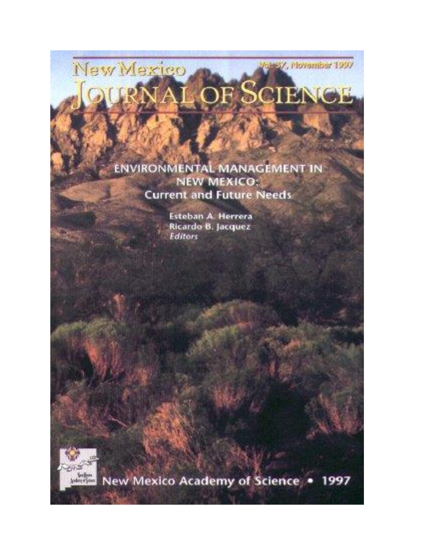## New Mexico SCIENCE

Volast/, Flovaniber 1997

**ENVIRONMENTAL MANAGEMENT IN** NEW MEXICO: **Current and Future Needs** 

> Esteban A. Herrera Ricardo B. Jacquez **Editors**

Joshny o'Sono

New Mexico Academy of Science . 1997